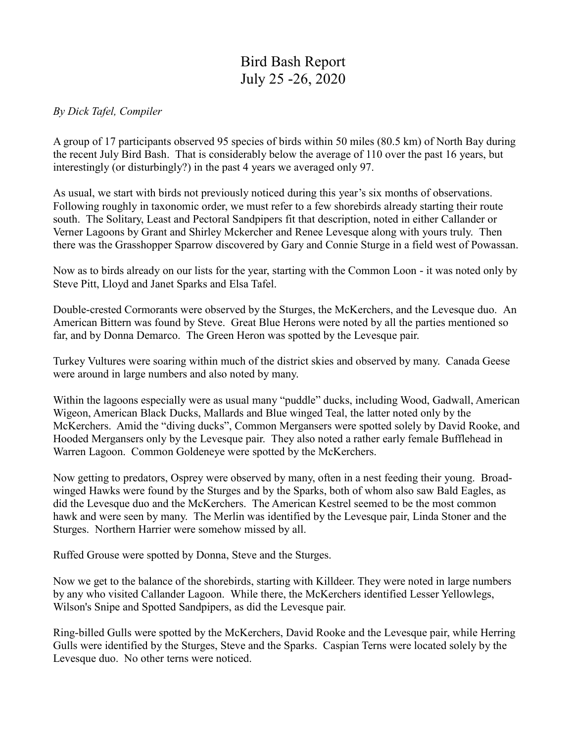## Bird Bash Report July 25 -26, 2020

## *By Dick Tafel, Compiler*

A group of 17 participants observed 95 species of birds within 50 miles (80.5 km) of North Bay during the recent July Bird Bash. That is considerably below the average of 110 over the past 16 years, but interestingly (or disturbingly?) in the past 4 years we averaged only 97.

As usual, we start with birds not previously noticed during this year's six months of observations. Following roughly in taxonomic order, we must refer to a few shorebirds already starting their route south. The Solitary, Least and Pectoral Sandpipers fit that description, noted in either Callander or Verner Lagoons by Grant and Shirley Mckercher and Renee Levesque along with yours truly. Then there was the Grasshopper Sparrow discovered by Gary and Connie Sturge in a field west of Powassan.

Now as to birds already on our lists for the year, starting with the Common Loon - it was noted only by Steve Pitt, Lloyd and Janet Sparks and Elsa Tafel.

Double-crested Cormorants were observed by the Sturges, the McKerchers, and the Levesque duo. An American Bittern was found by Steve. Great Blue Herons were noted by all the parties mentioned so far, and by Donna Demarco. The Green Heron was spotted by the Levesque pair.

Turkey Vultures were soaring within much of the district skies and observed by many. Canada Geese were around in large numbers and also noted by many.

Within the lagoons especially were as usual many "puddle" ducks, including Wood, Gadwall, American Wigeon, American Black Ducks, Mallards and Blue winged Teal, the latter noted only by the McKerchers. Amid the "diving ducks", Common Mergansers were spotted solely by David Rooke, and Hooded Mergansers only by the Levesque pair. They also noted a rather early female Bufflehead in Warren Lagoon. Common Goldeneye were spotted by the McKerchers.

Now getting to predators, Osprey were observed by many, often in a nest feeding their young. Broadwinged Hawks were found by the Sturges and by the Sparks, both of whom also saw Bald Eagles, as did the Levesque duo and the McKerchers. The American Kestrel seemed to be the most common hawk and were seen by many. The Merlin was identified by the Levesque pair, Linda Stoner and the Sturges. Northern Harrier were somehow missed by all.

Ruffed Grouse were spotted by Donna, Steve and the Sturges.

Now we get to the balance of the shorebirds, starting with Killdeer. They were noted in large numbers by any who visited Callander Lagoon. While there, the McKerchers identified Lesser Yellowlegs, Wilson's Snipe and Spotted Sandpipers, as did the Levesque pair.

Ring-billed Gulls were spotted by the McKerchers, David Rooke and the Levesque pair, while Herring Gulls were identified by the Sturges, Steve and the Sparks. Caspian Terns were located solely by the Levesque duo. No other terns were noticed.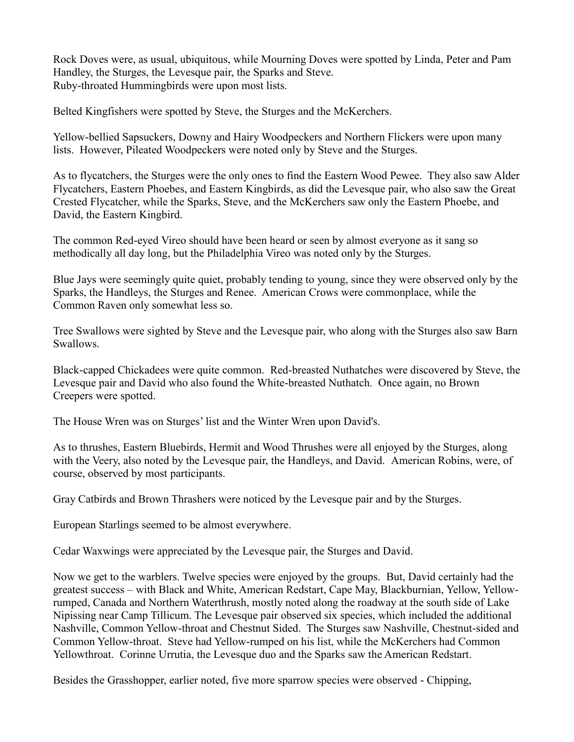Rock Doves were, as usual, ubiquitous, while Mourning Doves were spotted by Linda, Peter and Pam Handley, the Sturges, the Levesque pair, the Sparks and Steve. Ruby-throated Hummingbirds were upon most lists.

Belted Kingfishers were spotted by Steve, the Sturges and the McKerchers.

Yellow-bellied Sapsuckers, Downy and Hairy Woodpeckers and Northern Flickers were upon many lists. However, Pileated Woodpeckers were noted only by Steve and the Sturges.

As to flycatchers, the Sturges were the only ones to find the Eastern Wood Pewee. They also saw Alder Flycatchers, Eastern Phoebes, and Eastern Kingbirds, as did the Levesque pair, who also saw the Great Crested Flycatcher, while the Sparks, Steve, and the McKerchers saw only the Eastern Phoebe, and David, the Eastern Kingbird.

The common Red-eyed Vireo should have been heard or seen by almost everyone as it sang so methodically all day long, but the Philadelphia Vireo was noted only by the Sturges.

Blue Jays were seemingly quite quiet, probably tending to young, since they were observed only by the Sparks, the Handleys, the Sturges and Renee. American Crows were commonplace, while the Common Raven only somewhat less so.

Tree Swallows were sighted by Steve and the Levesque pair, who along with the Sturges also saw Barn Swallows.

Black-capped Chickadees were quite common. Red-breasted Nuthatches were discovered by Steve, the Levesque pair and David who also found the White-breasted Nuthatch. Once again, no Brown Creepers were spotted.

The House Wren was on Sturges' list and the Winter Wren upon David's.

As to thrushes, Eastern Bluebirds, Hermit and Wood Thrushes were all enjoyed by the Sturges, along with the Veery, also noted by the Levesque pair, the Handleys, and David. American Robins, were, of course, observed by most participants.

Gray Catbirds and Brown Thrashers were noticed by the Levesque pair and by the Sturges.

European Starlings seemed to be almost everywhere.

Cedar Waxwings were appreciated by the Levesque pair, the Sturges and David.

Now we get to the warblers. Twelve species were enjoyed by the groups. But, David certainly had the greatest success – with Black and White, American Redstart, Cape May, Blackburnian, Yellow, Yellowrumped, Canada and Northern Waterthrush, mostly noted along the roadway at the south side of Lake Nipissing near Camp Tillicum. The Levesque pair observed six species, which included the additional Nashville, Common Yellow-throat and Chestnut Sided. The Sturges saw Nashville, Chestnut-sided and Common Yellow-throat. Steve had Yellow-rumped on his list, while the McKerchers had Common Yellowthroat. Corinne Urrutia, the Levesque duo and the Sparks saw the American Redstart.

Besides the Grasshopper, earlier noted, five more sparrow species were observed - Chipping,